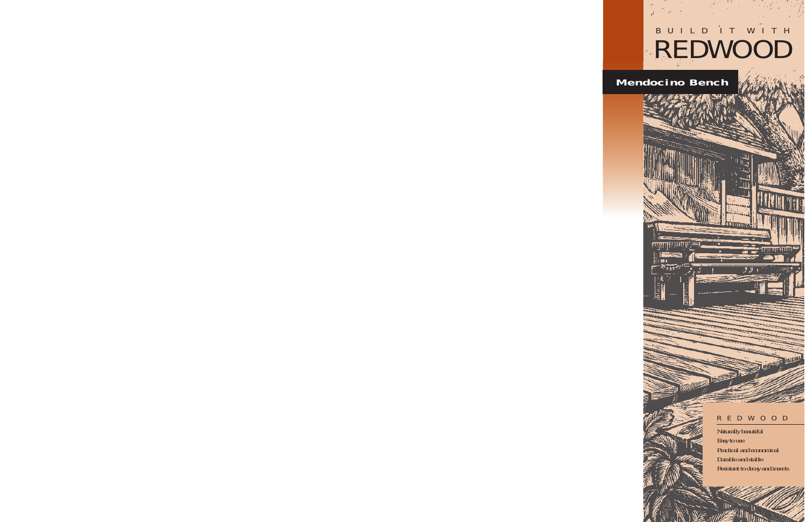# BUILD IT WITH REDWOOD

## **Mendocino Bench**



### REDWOOD

Naturally beautiful Easy to use Practical and economical Durable and stable Resistant to decay and insects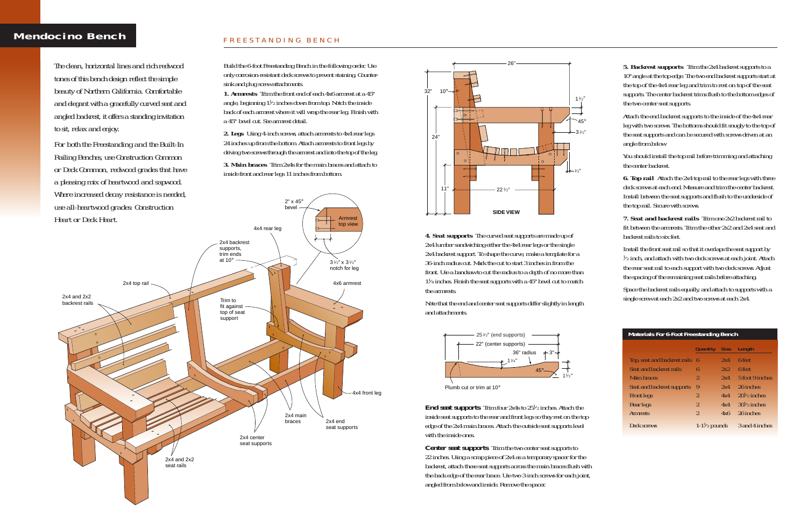### **Mendocino Bench** FREESTANDING BENCH

*5. Backrest supports* Trim the 2x4 backrest supports to a 10°angle at the top edge. The two end backrest supports start at the top of the 4x4 rear leg and trim to rest on top of the seat supports. The center backrest trims flush to the bottom edges of the two center seat supports.

Attach the end backrest supports to the inside of the 4x4 rear leg with two screws. The bottoms should fit snugly to the top of the seat supports and can be secured with screws driven at an angle from below.

**6. Top rail** Attach the 2x4 top rail to the rear legs with three deck screws at each end. Measure and trim the center backrest. Install between the seat supports and flush to the underside of the top rail. Secure with screws.

You should install the top rail before trimming and attaching the center backrest.

*7. Seat and backrest rails* Trim one 2x2 backrest rail to fit between the armrests. Trim the other 2x2 and 2x4 seat and backrest rails to six feet.

Install the front seat rail so that it overlaps the seat support by 1/2 inch, and attach with two deck screws at each joint. Attach the rear seat rail to each support with two deck screws. Adjust the spacing of the remaining seat rails before attaching.

Space the backrest rails equally, and attach to supports with a single screw at each 2x2 and two screws at each 2x4.

*4. Seat supports* The curved seat supports are made up of 2x4 lumber sandwiching either the 4x4 rear legs or the single 2x4 backrest support. To shape the curve, make a template for a 36-inch radius cut. Mark the cut to start 3 inches in from the front. Use a bandsaw to cut the radius to a depth of no more than  $1\frac{1}{4}$  inches. Finish the seat supports with a  $45^{\circ}$  bevel cut to match the armrests.

*End seat supports* Trim four 2x4s to 25<sup>1</sup>/2 inches. Attach the inside seat supports to the rear and front legs so they rest on the top edge of the 2x4 main braces. Attach the outside seat supports level with the inside ones.

Note that the end and center seat supports differ slightly in length and attachments.

| <b>Materials For 6-Foot Freestanding Bench</b> |                         |             |                        |  |  |
|------------------------------------------------|-------------------------|-------------|------------------------|--|--|
|                                                | Quantity                | <b>Size</b> | Length                 |  |  |
| Top, seat and backrest rails 6                 |                         | 2x4         | 6 feet                 |  |  |
| Seat and backrest rails                        | ĥ                       | 2x2         | 6 feet                 |  |  |
| Main braces                                    | $\overline{2}$          | 2x4         | 5 foot 9 inches        |  |  |
| Seat and backrest supports                     | 9                       | 2x4         | 26 inches              |  |  |
| <b>Front legs</b>                              | $\overline{2}$          | 4x4         | $20\frac{1}{2}$ inches |  |  |
| <b>Rear legs</b>                               | $\overline{2}$          | 4x4         | $30\frac{1}{2}$ inches |  |  |
| <b>Armrests</b>                                | $\overline{2}$          | 4x6         | 26 inches              |  |  |
| Deck screws                                    | $1-1\frac{1}{2}$ pounds |             | 3 and 4 inches         |  |  |

Build the 6-foot Freestanding Bench in the following order. Use only corrosion-resistant deck screws to prevent staining. Countersink and plug screw attachments.

*1. Armrests* Trim the front end of each 4x6 armrest at a 45° angle, beginning  $1\frac{1}{2}$  inches down from top. Notch the inside back of each armrest where it will wrap the rear leg. Finish with a 45° bevel cut. See armrest detail.

*2. Legs* Using 4-inch screws, attach armrests to 4x4 rear legs 24 inches up from the bottom. Attach armrests to front legs by driving two screws through the armrest and into the top of the leg.

*3. Main braces* Trim 2x4s for the main braces and attach to inside front and rear legs 11 inches from bottom.

> *Center seat supports* Trim the two center seat supports to 22 inches. Using a scrap piece of 2x4 as a temporary spacer for the backrest, attach these seat supports across the main braces flush with the back edge of the rear brace. Use two 3-inch screws for each joint, angled from below and inside. Remove the spacer.

*The clean, horizontal lines and rich redwood tones of this bench design reflect the simple beauty of Northern California. Comfortable and elegant with a gracefully curved seat and angled backrest, it offers a standing invitation to sit, relax and enjoy.*

*For both the Freestanding and the Built-In Railing Benches, use Construction Common or Deck Common, redwood grades that have a pleasing mix of heartwood and sapwood. Where increased decay resistance is needed,*







Plumb cut or trim at 10°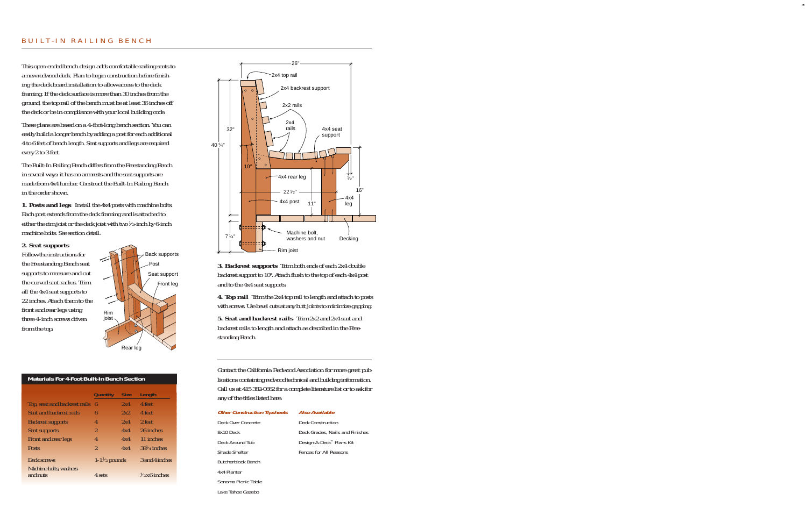#### BUILT-IN RAILING BENCH

This open-ended bench design adds comfortable railing seats to a new redwood deck. Plan to begin construction before finishing the deck board installation to allow access to the deck framing. If the deck surface is more than 30 inches from the ground, the top rail of the bench must be at least 36 inches off the deck or be in compliance with your local building code.

These plans are based on a 4-foot-long bench section. You can easily build a longer bench by adding a post for each additional 4 to 6 feet of bench length. Seat supports and legs are required every 2 to 3 feet.

The Built-In Railing Bench differs from the Freestanding Bench in several ways: it has no armrests and the seat supports are made from 4x4 lumber. Construct the Built-In Railing Bench in the order shown.

*1. Posts and legs* Install the 4x4 posts with machine bolts. Each post extends from the deck framing and is attached to either the rim joist or the deck joist with two  $\frac{1}{2}$ -inch by 6-inch machine bolts. See section detail.

#### *2. Seat supports*

Follow the instructions for the Freestanding Bench seat supports to measure and cut the curved seat radius. Trim all the 4x4 seat supports to 22 inches. Attach them to the front and rear legs using three 4-inch screws driven from the top.



#### **Materials For 4-Foot Built-In Bench Section**

|                                    | <b>Quantity</b>         | <b>Size</b> | Length                 |
|------------------------------------|-------------------------|-------------|------------------------|
| Top, seat and backrest rails       | 6                       | 2x4         | 4 feet                 |
| Seat and backrest rails            | 6                       | 2x2         | 4 feet                 |
| <b>Backrest supports</b>           | 4                       | 2x4         | 2 feet                 |
| <b>Seat supports</b>               | $\overline{\mathbf{2}}$ | 4x4         | 26 inches              |
| Front and rear legs                | 4                       | 4x4         | 11 inches              |
| <b>Posts</b>                       | $\overline{2}$          | 4x4         | $39\frac{1}{4}$ inches |
| Deck screws                        | $1-1\frac{1}{2}$ pounds |             | 3 and 4 inches         |
| Machine bolts, washers<br>and nuts | 4 sets                  |             | $\frac{1}{2}x6$ inches |



*3. Backrest supports* Trim both ends of each 2x4 double backrest support to 10°. Attach flush to the top of each 4x4 post and to the 4x4 seat supports.

*4. Top rail* Trim the 2x4 top rail to length and attach to posts with screws. Use bevel cuts at any butt joints to minimize gapping.

*5. Seat and backrest rails* Trim 2x2 and 2x4 seat and backrest rails to length and attach as described in the Freestanding Bench.

Contact the California Redwood Association for more great publications containing redwood technical and building information. Call us at 415 382-0662 for a complete literature list or to ask for any of the titles listed here:

| <b>Other Construction Tipsheets</b> | Also Available                  |
|-------------------------------------|---------------------------------|
| Deck Over Concrete                  | Deck Construction               |
| 8x10 Deck                           | Deck Grades, Nails and Finishes |
| Deck Around Tub                     | Design-A-Deck™ Plans Kit        |
| Shade Shelter                       | Fences for All Reasons          |
| Butcherblock Bench                  |                                 |
| 4x4 Planter                         |                                 |
| Sonoma Picnic Table                 |                                 |
| Lake Tahoe Gazebo                   |                                 |